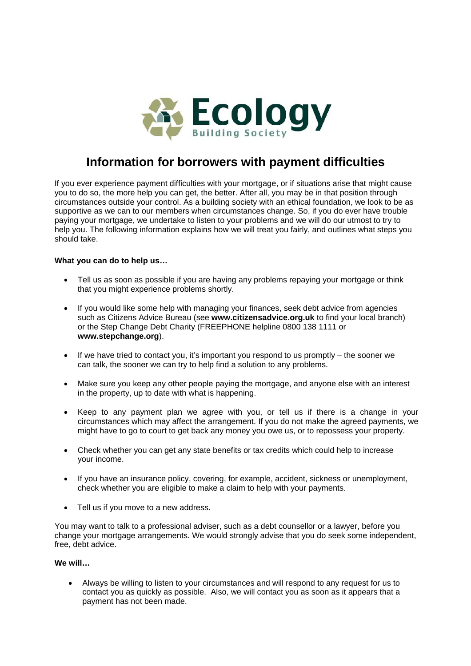

# **Information for borrowers with payment difficulties**

If you ever experience payment difficulties with your mortgage, or if situations arise that might cause you to do so, the more help you can get, the better. After all, you may be in that position through circumstances outside your control. As a building society with an ethical foundation, we look to be as supportive as we can to our members when circumstances change. So, if you do ever have trouble paying your mortgage, we undertake to listen to your problems and we will do our utmost to try to help you. The following information explains how we will treat you fairly, and outlines what steps you should take.

# **What you can do to help us…**

- Tell us as soon as possible if you are having any problems repaying your mortgage or think that you might experience problems shortly.
- If you would like some help with managing your finances, seek debt advice from agencies such as Citizens Advice Bureau (see **www.citizensadvice.org.uk** to find your local branch) or the Step Change Debt Charity (FREEPHONE helpline 0800 138 1111 or **www.stepchange.org**).
- $\bullet$  If we have tried to contact you, it's important you respond to us promptly the sooner we can talk, the sooner we can try to help find a solution to any problems.
- Make sure you keep any other people paying the mortgage, and anyone else with an interest in the property, up to date with what is happening.
- Keep to any payment plan we agree with you, or tell us if there is a change in your circumstances which may affect the arrangement. If you do not make the agreed payments, we might have to go to court to get back any money you owe us, or to repossess your property.
- Check whether you can get any state benefits or tax credits which could help to increase your income.
- If you have an insurance policy, covering, for example, accident, sickness or unemployment, check whether you are eligible to make a claim to help with your payments.
- Tell us if you move to a new address.

You may want to talk to a professional adviser, such as a debt counsellor or a lawyer, before you change your mortgage arrangements. We would strongly advise that you do seek some independent, free, debt advice.

# **We will…**

 Always be willing to listen to your circumstances and will respond to any request for us to contact you as quickly as possible. Also, we will contact you as soon as it appears that a payment has not been made.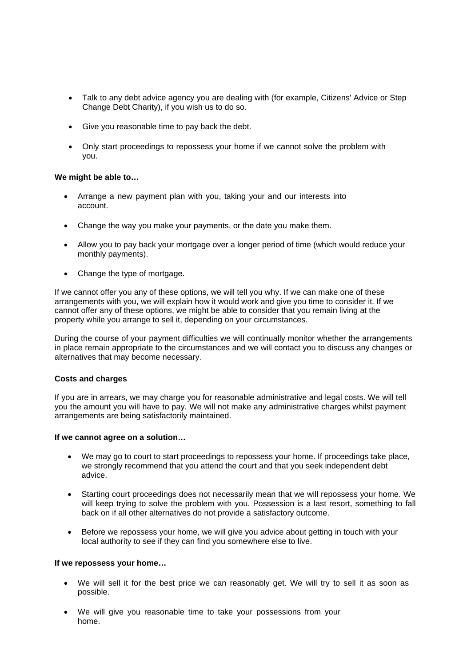- Talk to any debt advice agency you are dealing with (for example, Citizens' Advice or Step Change Debt Charity), if you wish us to do so.
- Give you reasonable time to pay back the debt.
- Only start proceedings to repossess your home if we cannot solve the problem with you.

# **We might be able to…**

- Arrange a new payment plan with you, taking your and our interests into account.
- Change the way you make your payments, or the date you make them.
- Allow you to pay back your mortgage over a longer period of time (which would reduce your monthly payments).
- Change the type of mortgage.

If we cannot offer you any of these options, we will tell you why. If we can make one of these arrangements with you, we will explain how it would work and give you time to consider it. If we cannot offer any of these options, we might be able to consider that you remain living at the property while you arrange to sell it, depending on your circumstances.

During the course of your payment difficulties we will continually monitor whether the arrangements in place remain appropriate to the circumstances and we will contact you to discuss any changes or alternatives that may become necessary.

### **Costs and charges**

If you are in arrears, we may charge you for reasonable administrative and legal costs. We will tell you the amount you will have to pay. We will not make any administrative charges whilst payment arrangements are being satisfactorily maintained.

## **If we cannot agree on a solution…**

- We may go to court to start proceedings to repossess your home. If proceedings take place, we strongly recommend that you attend the court and that you seek independent debt advice.
- Starting court proceedings does not necessarily mean that we will repossess your home. We will keep trying to solve the problem with you. Possession is a last resort, something to fall back on if all other alternatives do not provide a satisfactory outcome.
- Before we repossess your home, we will give you advice about getting in touch with your local authority to see if they can find you somewhere else to live.

### **If we repossess your home…**

- We will sell it for the best price we can reasonably get. We will try to sell it as soon as possible.
- We will give you reasonable time to take your possessions from your home.